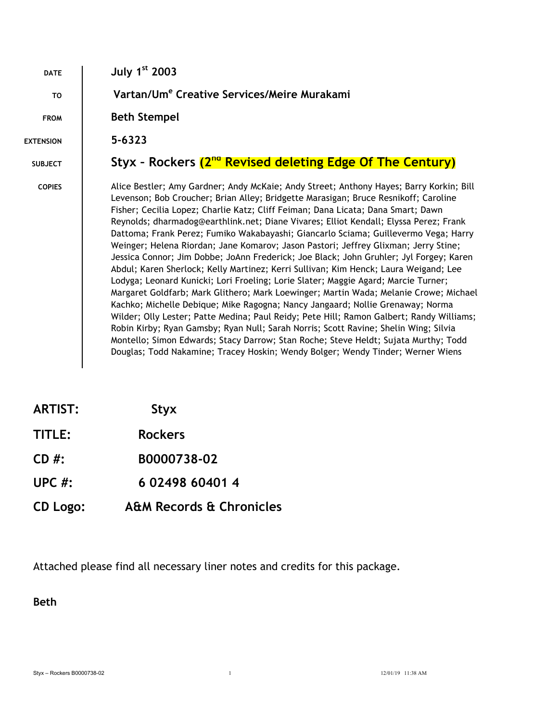| <b>DATE</b>      | July $1st$ 2003                                                                                                                                                                                                                                                                                                                                                                                                                                                                                                                                                                                                                                                                                                                                                                                                                                                                                                                                                                                                                                                                                                                                                                                                                                                                                                                                            |  |  |
|------------------|------------------------------------------------------------------------------------------------------------------------------------------------------------------------------------------------------------------------------------------------------------------------------------------------------------------------------------------------------------------------------------------------------------------------------------------------------------------------------------------------------------------------------------------------------------------------------------------------------------------------------------------------------------------------------------------------------------------------------------------------------------------------------------------------------------------------------------------------------------------------------------------------------------------------------------------------------------------------------------------------------------------------------------------------------------------------------------------------------------------------------------------------------------------------------------------------------------------------------------------------------------------------------------------------------------------------------------------------------------|--|--|
| T <sub>0</sub>   | Vartan/Um <sup>e</sup> Creative Services/Meire Murakami                                                                                                                                                                                                                                                                                                                                                                                                                                                                                                                                                                                                                                                                                                                                                                                                                                                                                                                                                                                                                                                                                                                                                                                                                                                                                                    |  |  |
| <b>FROM</b>      | <b>Beth Stempel</b>                                                                                                                                                                                                                                                                                                                                                                                                                                                                                                                                                                                                                                                                                                                                                                                                                                                                                                                                                                                                                                                                                                                                                                                                                                                                                                                                        |  |  |
| <b>EXTENSION</b> | 5-6323                                                                                                                                                                                                                                                                                                                                                                                                                                                                                                                                                                                                                                                                                                                                                                                                                                                                                                                                                                                                                                                                                                                                                                                                                                                                                                                                                     |  |  |
| <b>SUBJECT</b>   | Styx - Rockers (2 <sup>nd</sup> Revised deleting Edge Of The Century)                                                                                                                                                                                                                                                                                                                                                                                                                                                                                                                                                                                                                                                                                                                                                                                                                                                                                                                                                                                                                                                                                                                                                                                                                                                                                      |  |  |
| <b>COPIES</b>    | Alice Bestler; Amy Gardner; Andy McKaie; Andy Street; Anthony Hayes; Barry Korkin; Bill<br>Levenson; Bob Croucher; Brian Alley; Bridgette Marasigan; Bruce Resnikoff; Caroline<br>Fisher; Cecilia Lopez; Charlie Katz; Cliff Feiman; Dana Licata; Dana Smart; Dawn<br>Reynolds; dharmadog@earthlink.net; Diane Vivares; Elliot Kendall; Elyssa Perez; Frank<br>Dattoma; Frank Perez; Fumiko Wakabayashi; Giancarlo Sciama; Guillevermo Vega; Harry<br>Weinger; Helena Riordan; Jane Komarov; Jason Pastori; Jeffrey Glixman; Jerry Stine;<br>Jessica Connor; Jim Dobbe; JoAnn Frederick; Joe Black; John Gruhler; Jyl Forgey; Karen<br>Abdul; Karen Sherlock; Kelly Martinez; Kerri Sullivan; Kim Henck; Laura Weigand; Lee<br>Lodyga; Leonard Kunicki; Lori Froeling; Lorie Slater; Maggie Agard; Marcie Turner;<br>Margaret Goldfarb; Mark Glithero; Mark Loewinger; Martin Wada; Melanie Crowe; Michael<br>Kachko; Michelle Debique; Mike Ragogna; Nancy Jangaard; Nollie Grenaway; Norma<br>Wilder; Olly Lester; Patte Medina; Paul Reidy; Pete Hill; Ramon Galbert; Randy Williams;<br>Robin Kirby; Ryan Gamsby; Ryan Null; Sarah Norris; Scott Ravine; Shelin Wing; Silvia<br>Montello; Simon Edwards; Stacy Darrow; Stan Roche; Steve Heldt; Sujata Murthy; Todd<br>Douglas; Todd Nakamine; Tracey Hoskin; Wendy Bolger; Wendy Tinder; Werner Wiens |  |  |

| <b>ARTIST:</b> | <b>Styx</b> |
|----------------|-------------|
|----------------|-------------|

**CD #: B0000738-02**

- **UPC #: 6 02498 60401 4**
- **CD Logo: A&M Records & Chronicles**

Attached please find all necessary liner notes and credits for this package.

**Beth**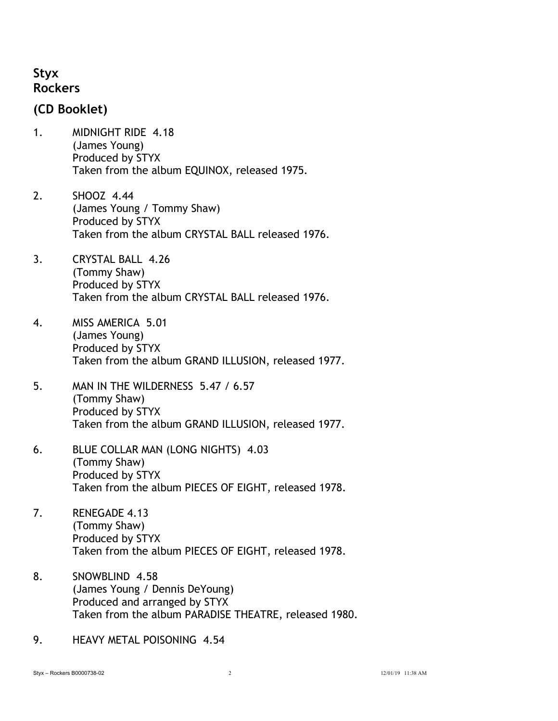## **Styx Rockers**

## **(CD Booklet)**

- 1. MIDNIGHT RIDE 4.18 (James Young) Produced by STYX Taken from the album EQUINOX, released 1975.
- 2. SHOOZ 4.44 (James Young / Tommy Shaw) Produced by STYX Taken from the album CRYSTAL BALL released 1976.
- 3. CRYSTAL BALL 4.26 (Tommy Shaw) Produced by STYX Taken from the album CRYSTAL BALL released 1976.
- 4. MISS AMERICA 5.01 (James Young) Produced by STYX Taken from the album GRAND ILLUSION, released 1977.
- 5. MAN IN THE WILDERNESS 5.47 / 6.57 (Tommy Shaw) Produced by STYX Taken from the album GRAND ILLUSION, released 1977.
- 6. BLUE COLLAR MAN (LONG NIGHTS) 4.03 (Tommy Shaw) Produced by STYX Taken from the album PIECES OF EIGHT, released 1978.
- 7. RENEGADE 4.13 (Tommy Shaw) Produced by STYX Taken from the album PIECES OF EIGHT, released 1978.
- 8. SNOWBLIND 4.58 (James Young / Dennis DeYoung) Produced and arranged by STYX Taken from the album PARADISE THEATRE, released 1980.
- 9. HEAVY METAL POISONING 4.54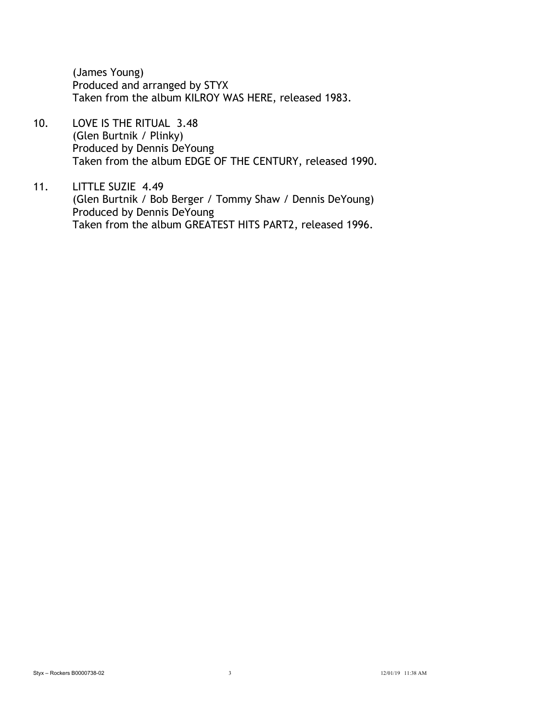(James Young) Produced and arranged by STYX Taken from the album KILROY WAS HERE, released 1983.

10. LOVE IS THE RITUAL 3.48 (Glen Burtnik / Plinky) Produced by Dennis DeYoung Taken from the album EDGE OF THE CENTURY, released 1990.

11. LITTLE SUZIE 4.49 (Glen Burtnik / Bob Berger / Tommy Shaw / Dennis DeYoung) Produced by Dennis DeYoung Taken from the album GREATEST HITS PART2, released 1996.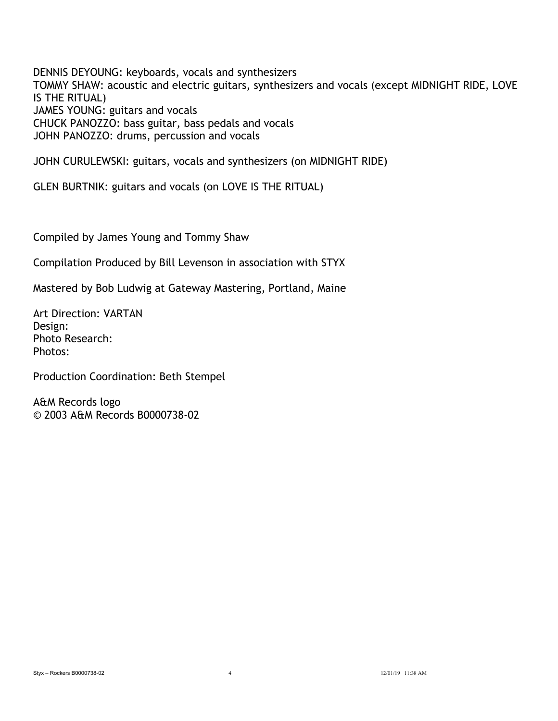DENNIS DEYOUNG: keyboards, vocals and synthesizers TOMMY SHAW: acoustic and electric guitars, synthesizers and vocals (except MIDNIGHT RIDE, LOVE IS THE RITUAL) JAMES YOUNG: guitars and vocals CHUCK PANOZZO: bass guitar, bass pedals and vocals JOHN PANOZZO: drums, percussion and vocals

JOHN CURULEWSKI: guitars, vocals and synthesizers (on MIDNIGHT RIDE)

GLEN BURTNIK: guitars and vocals (on LOVE IS THE RITUAL)

Compiled by James Young and Tommy Shaw

Compilation Produced by Bill Levenson in association with STYX

Mastered by Bob Ludwig at Gateway Mastering, Portland, Maine

Art Direction: VARTAN Design: Photo Research: Photos:

Production Coordination: Beth Stempel

A&M Records logo © 2003 A&M Records B0000738-02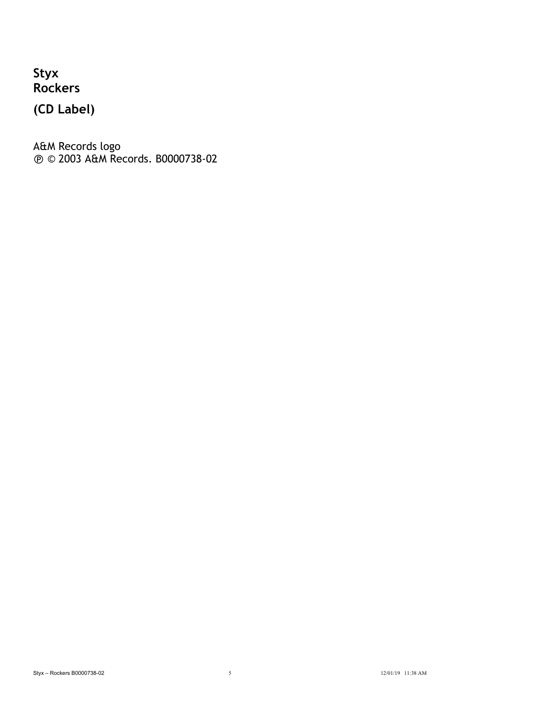**Styx Rockers**

**(CD Label)**

A&M Records logo ! © 2003 A&M Records. B0000738-02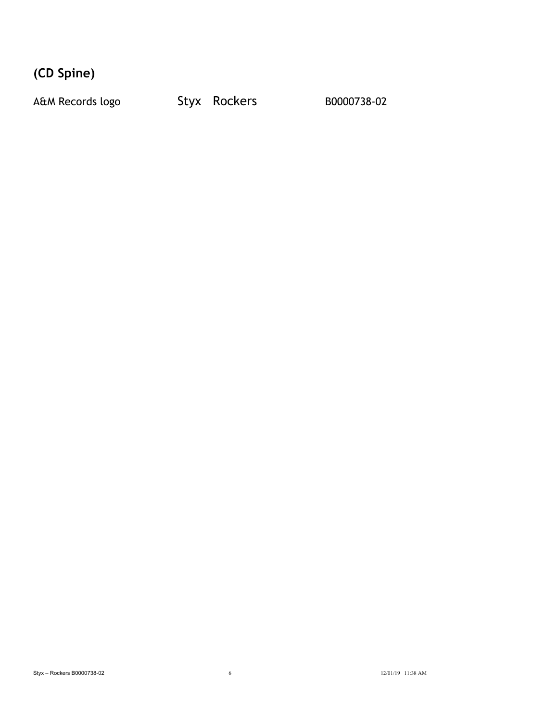**(CD Spine)**

A&M Records logo Styx Rockers B0000738-02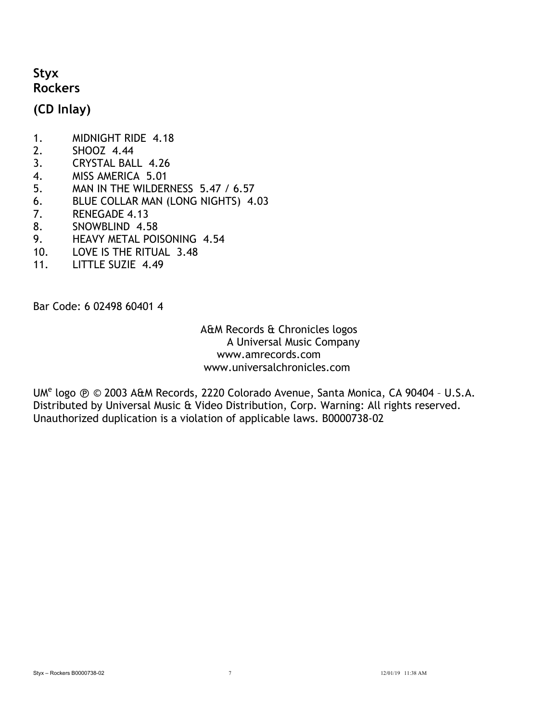## **Styx Rockers**

**(CD Inlay)**

- 1. MIDNIGHT RIDE 4.18
- 2. SHOOZ 4.44
- 3. CRYSTAL BALL 4.26
- 4. MISS AMERICA 5.01
- 5. MAN IN THE WILDERNESS 5.47 / 6.57
- 6. BLUE COLLAR MAN (LONG NIGHTS) 4.03
- 7. RENEGADE 4.13
- 8. SNOWBLIND 4.58
- 9. HEAVY METAL POISONING 4.54
- 10. LOVE IS THE RITUAL 3.48
- 11. LITTLE SUZIE 4.49

Bar Code: 6 02498 60401 4

 A&M Records & Chronicles logos A Universal Music Company www.amrecords.com www.universalchronicles.com

UM<sup>e</sup> logo  $\odot$   $\odot$  2003 A&M Records, 2220 Colorado Avenue, Santa Monica, CA 90404 - U.S.A. Distributed by Universal Music & Video Distribution, Corp. Warning: All rights reserved. Unauthorized duplication is a violation of applicable laws. B0000738-02